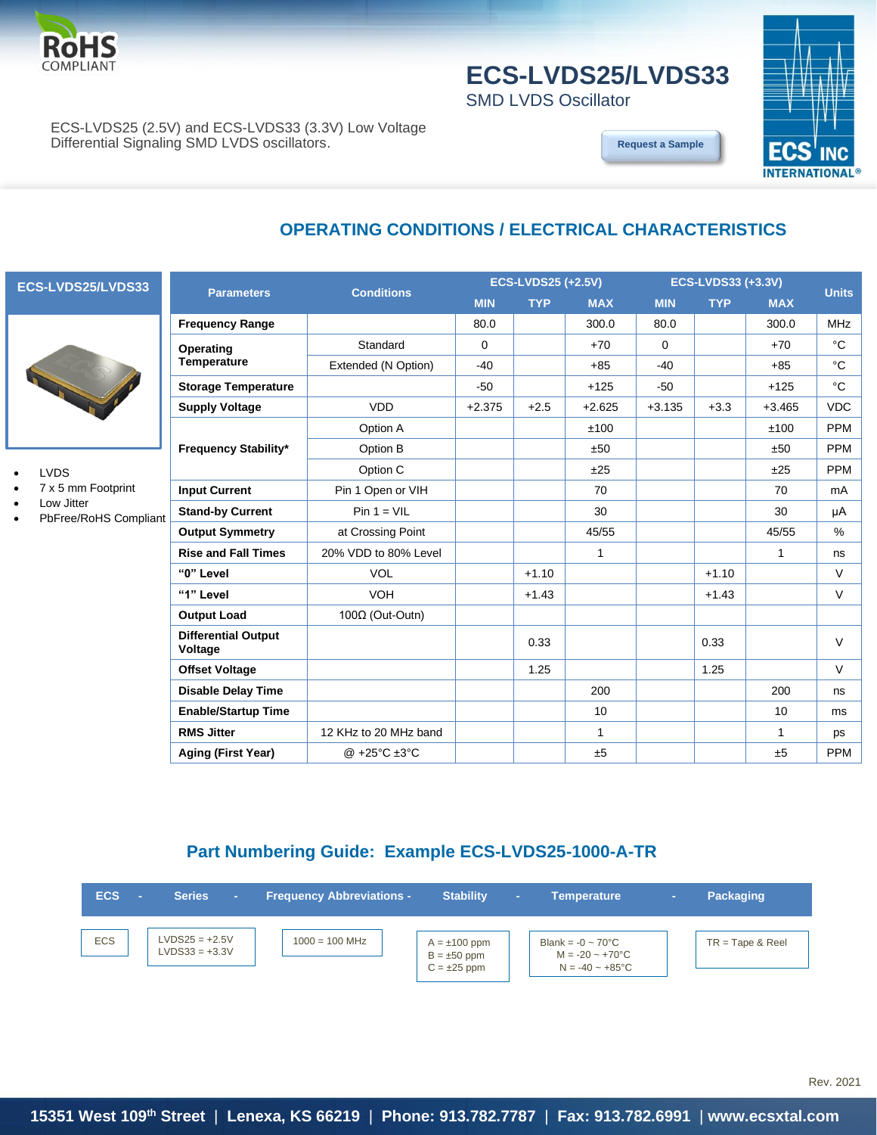

# **ECS-LVDS25/LVDS33**

SMD LVDS Oscillator

**OPERATING CONDITIONS / ELECTRICAL CHARACTERISTICS**



ECS-LVDS25 (2.5V) and ECS-LVDS33 (3.3V) Low Voltage Differential Signaling SMD LVDS oscillators.

**[Request a Sample](http://ecsxtalportal.com/samplepilot/samplerequest.php)**

**ECS-LVDS25/LVDS33**

- **LVDS**
- 7 x 5 mm Footprint
- Low Jitter
- PbFree/RoHS Compliant

|                                       | <b>Conditions</b>                  | <b>ECS-LVDS25 (+2.5V)</b> |            |            | <b>ECS-LVDS33 (+3.3V)</b> |            |            |              |  |
|---------------------------------------|------------------------------------|---------------------------|------------|------------|---------------------------|------------|------------|--------------|--|
| <b>Parameters</b>                     |                                    | <b>MIN</b>                | <b>TYP</b> | <b>MAX</b> | <b>MIN</b>                | <b>TYP</b> | <b>MAX</b> | <b>Units</b> |  |
| <b>Frequency Range</b>                |                                    | 80.0                      |            | 300.0      | 80.0                      |            | 300.0      | <b>MHz</b>   |  |
| Operating                             | Standard                           | $\Omega$                  |            | $+70$      | $\Omega$                  |            | $+70$      | $^{\circ}C$  |  |
| <b>Temperature</b>                    | Extended (N Option)                | $-40$                     |            | $+85$      | $-40$                     |            | $+85$      | °C           |  |
| <b>Storage Temperature</b>            |                                    | $-50$                     |            | $+125$     | $-50$                     |            | $+125$     | $^{\circ}C$  |  |
| <b>Supply Voltage</b>                 | <b>VDD</b>                         | $+2.375$                  | $+2.5$     | $+2.625$   | $+3.135$                  | $+3.3$     | $+3.465$   | <b>VDC</b>   |  |
|                                       | Option A                           |                           |            | ±100       |                           |            | ±100       | <b>PPM</b>   |  |
| <b>Frequency Stability*</b>           | Option B                           |                           |            | ±50        |                           |            | ±50        | <b>PPM</b>   |  |
|                                       | Option C                           |                           |            | ±25        |                           |            | ±25        | <b>PPM</b>   |  |
| <b>Input Current</b>                  | Pin 1 Open or VIH                  |                           |            | 70         |                           |            | 70         | mA           |  |
| <b>Stand-by Current</b>               | $Pin 1 = VIL$                      |                           |            | 30         |                           |            | 30         | μA           |  |
| <b>Output Symmetry</b>                | at Crossing Point                  |                           |            | 45/55      |                           |            | 45/55      | $\%$         |  |
| <b>Rise and Fall Times</b>            | 20% VDD to 80% Level               |                           |            | 1          |                           |            | 1          | ns           |  |
| "0" Level                             | <b>VOL</b>                         |                           | $+1.10$    |            |                           | $+1.10$    |            | $\vee$       |  |
| "1" Level                             | <b>VOH</b>                         |                           | $+1.43$    |            |                           | $+1.43$    |            | $\vee$       |  |
| <b>Output Load</b>                    | 100Ω (Out-Outn)                    |                           |            |            |                           |            |            |              |  |
| <b>Differential Output</b><br>Voltage |                                    |                           | 0.33       |            |                           | 0.33       |            | $\vee$       |  |
| <b>Offset Voltage</b>                 |                                    |                           | 1.25       |            |                           | 1.25       |            | $\vee$       |  |
| <b>Disable Delay Time</b>             |                                    |                           |            | 200        |                           |            | 200        | ns           |  |
| <b>Enable/Startup Time</b>            |                                    |                           |            | 10         |                           |            | 10         | ms           |  |
| <b>RMS Jitter</b>                     | 12 KHz to 20 MHz band              |                           |            | 1          |                           |            | 1          | ps           |  |
| Aging (First Year)                    | @ +25 $^{\circ}$ C ±3 $^{\circ}$ C |                           |            | ±5         |                           |            | ±5         | <b>PPM</b>   |  |

### **Part Numbering Guide: Example ECS-LVDS25-1000-A-TR**

| <b>ECS</b> | <b>Series</b><br>×.                  | <b>Frequency Abbreviations -</b> | <b>Stability</b>                                          | $\sim$ | <b>Temperature</b>                                                                        | $\sim$ | <b>Packaging</b>   |
|------------|--------------------------------------|----------------------------------|-----------------------------------------------------------|--------|-------------------------------------------------------------------------------------------|--------|--------------------|
| <b>ECS</b> | $LVDS25 = +2.5V$<br>$LVDS33 = +3.3V$ | $1000 = 100$ MHz                 | $A = \pm 100$ ppm<br>$B = \pm 50$ ppm<br>$C = \pm 25$ ppm |        | Blank = $-0 \sim 70^{\circ}$ C<br>$M = -20 - +70^{\circ}C$<br>$N = -40 \sim +85^{\circ}C$ |        | $TR = Tape & Reel$ |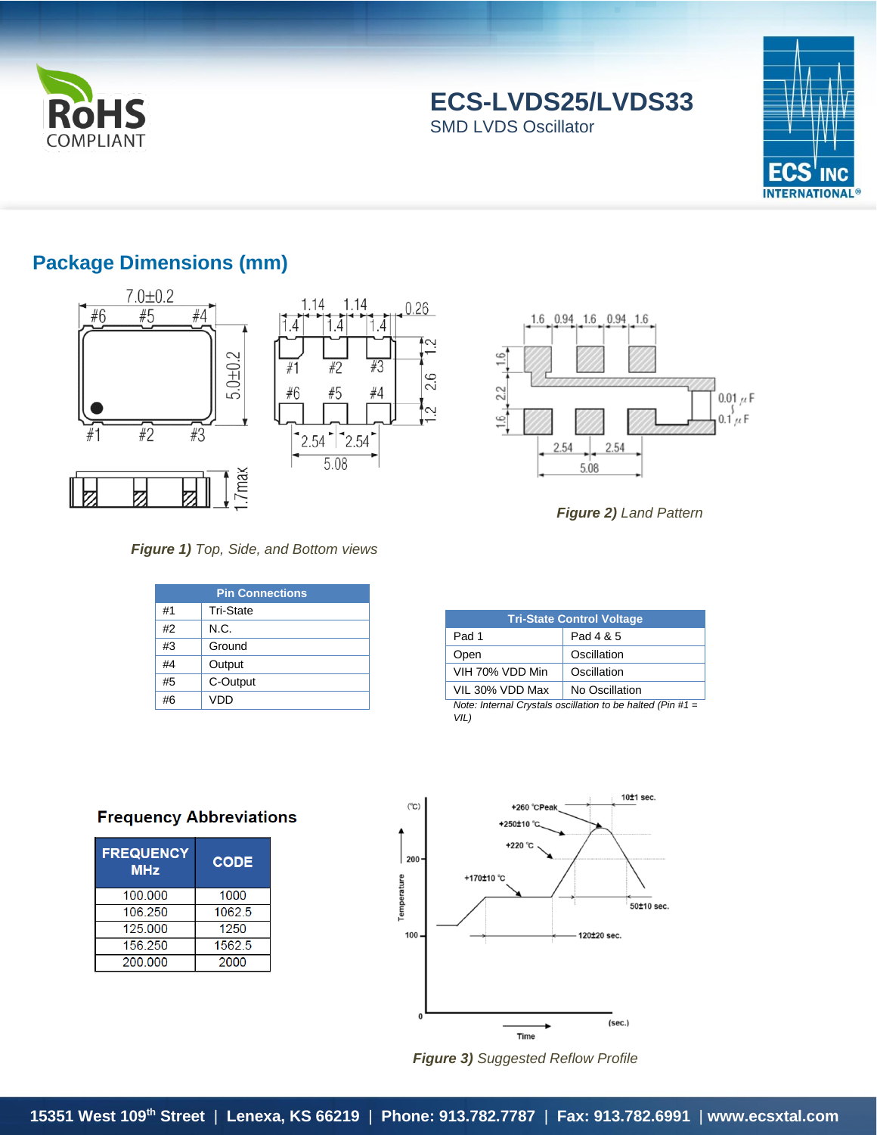

**ECS-LVDS25/LVDS33** SMD LVDS Oscillator



## **Package Dimensions (mm)**







*Figure 2) Land Pattern*

#### *Figure 1) Top, Side, and Bottom views*

| <b>Pin Connections</b> |                  |  |  |  |
|------------------------|------------------|--|--|--|
| #1                     | <b>Tri-State</b> |  |  |  |
| #2                     | N.C.             |  |  |  |
| #3                     | Ground           |  |  |  |
| #4                     | Output           |  |  |  |
| #5                     | C-Output         |  |  |  |
| #6                     | VDD              |  |  |  |

| <b>Tri-State Control Voltage</b>                                   |                |  |  |  |  |
|--------------------------------------------------------------------|----------------|--|--|--|--|
| Pad 1                                                              | Pad 4 & 5      |  |  |  |  |
| Open                                                               | Oscillation    |  |  |  |  |
| VIH 70% VDD Min                                                    | Oscillation    |  |  |  |  |
| VIL 30% VDD Max                                                    | No Oscillation |  |  |  |  |
| Note: Internal Crystals oscillation to be halted (Pin #1 =<br>VIL) |                |  |  |  |  |

### **Frequency Abbreviations**

| <b>FREQUENCY</b><br><b>MHz</b> | <b>CODE</b> |  |  |
|--------------------------------|-------------|--|--|
| 100 000                        | 1000        |  |  |
| 106 250                        | 1062.5      |  |  |
| 125 000                        | 1250        |  |  |
| 156 250                        | 1562.5      |  |  |
| 200 000                        | 2000        |  |  |



*Figure 3) Suggested Reflow Profile*